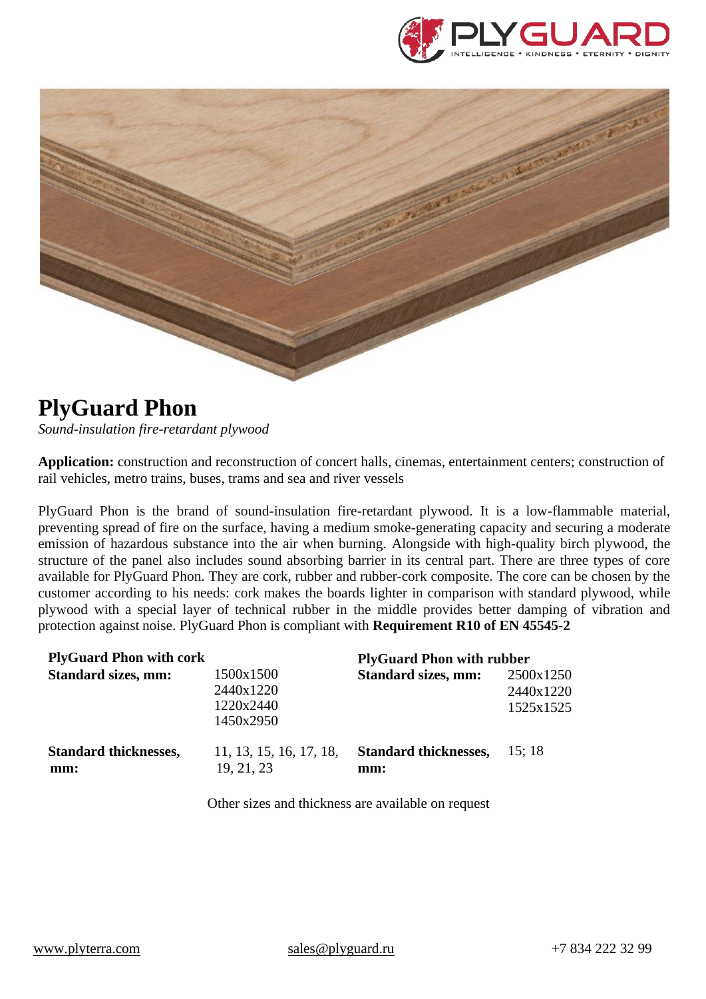



## **PlyGuard Phon**

*Sound-insulation fire-retardant plywood*

**Application:** construction and reconstruction of concert halls, cinemas, entertainment centers; construction of rail vehicles, metro trains, buses, trams and sea and river vessels

PlyGuard Phon is the brand of sound-insulation fire-retardant plywood. It is a low-flammable material, preventing spread of fire on the surface, having a medium smoke-generating capacity and securing a moderate emission of hazardous substance into the air when burning. Alongside with high-quality birch plywood, the structure of the panel also includes sound absorbing barrier in its central part. There are three types of core available for PlyGuard Phon. They are cork, rubber and rubber-cork composite. The core can be chosen by the customer according to his needs: cork makes the boards lighter in comparison with standard plywood, while plywood with a special layer of technical rubber in the middle provides better damping of vibration and protection against noise. PlyGuard Phon is compliant with **Requirement R10 of EN 45545-2**

| <b>PlyGuard Phon with cork</b>      |                                                  | <b>PlyGuard Phon with rubber</b>    |                                     |
|-------------------------------------|--------------------------------------------------|-------------------------------------|-------------------------------------|
| <b>Standard sizes, mm:</b>          | 1500x1500<br>2440x1220<br>1220x2440<br>1450x2950 | <b>Standard sizes, mm:</b>          | 2500x1250<br>2440x1220<br>1525x1525 |
| <b>Standard thicknesses,</b><br>mm: | 11, 13, 15, 16, 17, 18,<br>19, 21, 23            | <b>Standard thicknesses,</b><br>mm: | 15:18                               |

Other sizes and thickness are available on request